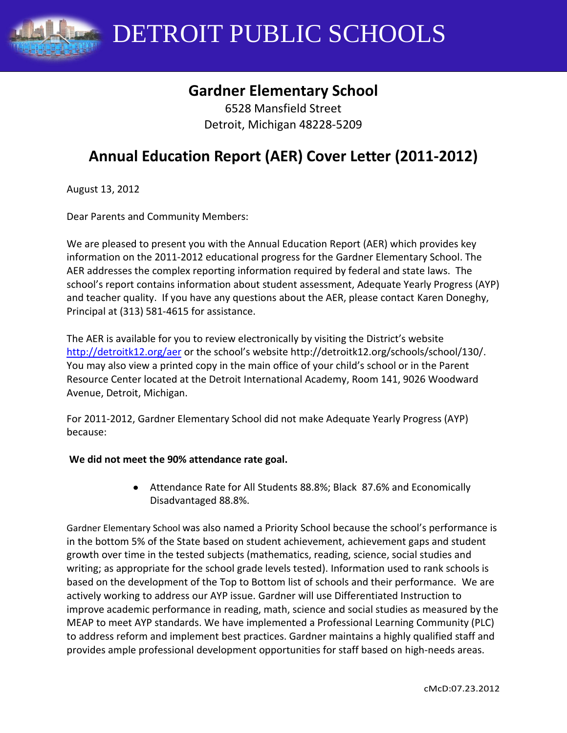

# **Gardner Elementary School**

6528 Mansfield Street Detroit, Michigan 48228-5209

# **Annual Education Report (AER) Cover Letter (2011-2012)**

August 13, 2012

Dear Parents and Community Members:

We are pleased to present you with the Annual Education Report (AER) which provides key information on the 2011-2012 educational progress for the Gardner Elementary School. The AER addresses the complex reporting information required by federal and state laws. The school's report contains information about student assessment, Adequate Yearly Progress (AYP) and teacher quality. If you have any questions about the AER, please contact Karen Doneghy, Principal at (313) 581-4615 for assistance.

The AER is available for you to review electronically by visiting the District's website <http://detroitk12.org/aer> or the school's website http://detroitk12.org/schools/school/130/. You may also view a printed copy in the main office of your child's school or in the Parent Resource Center located at the Detroit International Academy, Room 141, 9026 Woodward Avenue, Detroit, Michigan.

For 2011-2012, Gardner Elementary School did not make Adequate Yearly Progress (AYP) because:

#### **We did not meet the 90% attendance rate goal.**

Attendance Rate for All Students 88.8%; Black 87.6% and Economically Disadvantaged 88.8%.

Gardner Elementary School was also named a Priority School because the school's performance is in the bottom 5% of the State based on student achievement, achievement gaps and student growth over time in the tested subjects (mathematics, reading, science, social studies and writing; as appropriate for the school grade levels tested). Information used to rank schools is based on the development of the Top to Bottom list of schools and their performance. We are actively working to address our AYP issue. Gardner will use Differentiated Instruction to improve academic performance in reading, math, science and social studies as measured by the MEAP to meet AYP standards. We have implemented a Professional Learning Community (PLC) to address reform and implement best practices. Gardner maintains a highly qualified staff and provides ample professional development opportunities for staff based on high-needs areas.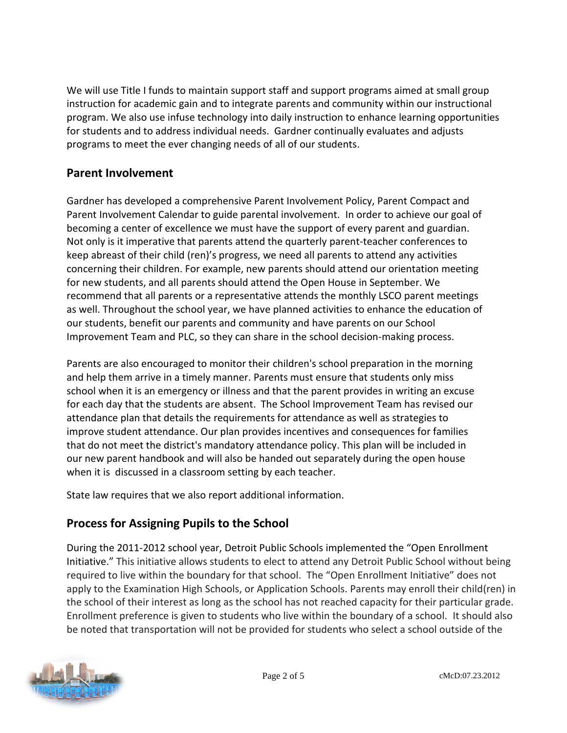We will use Title I funds to maintain support staff and support programs aimed at small group instruction for academic gain and to integrate parents and community within our instructional program. We also use infuse technology into daily instruction to enhance learning opportunities for students and to address individual needs. Gardner continually evaluates and adjusts programs to meet the ever changing needs of all of our students.

# **Parent Involvement**

Gardner has developed a comprehensive Parent Involvement Policy, Parent Compact and Parent Involvement Calendar to guide parental involvement.In order to achieve our goal of becoming a center of excellence we must have the support of every parent and guardian. Not only is it imperative that parents attend the quarterly parent-teacher conferences to keep abreast of their child (ren)'s progress, we need all parents to attend any activities concerning their children. For example, new parents should attend our orientation meeting for new students, and all parents should attend the Open House in September. We recommend that all parents or a representative attends the monthly LSCO parent meetings as well. Throughout the school year, we have planned activities to enhance the education of our students, benefit our parents and community and have parents on our School Improvement Team and PLC, so they can share in the school decision-making process.

Parents are also encouraged to monitor their children's school preparation in the morning and help them arrive in a timely manner. Parents must ensure that students only miss school when it is an emergency or illness and that the parent provides in writing an excuse for each day that the students are absent. The School Improvement Team has revised our attendance plan that details the requirements for attendance as well as strategies to improve student attendance. Our plan provides incentives and consequences for families that do not meet the district's mandatory attendance policy. This plan will be included in our new parent handbook and will also be handed out separately during the open house when it is discussed in a classroom setting by each teacher.

State law requires that we also report additional information.

# **Process for Assigning Pupils to the School**

During the 2011-2012 school year, Detroit Public Schools implemented the "Open Enrollment Initiative." This initiative allows students to elect to attend any Detroit Public School without being required to live within the boundary for that school. The "Open Enrollment Initiative" does not apply to the Examination High Schools, or Application Schools. Parents may enroll their child(ren) in the school of their interest as long as the school has not reached capacity for their particular grade. Enrollment preference is given to students who live within the boundary of a school. It should also be noted that transportation will not be provided for students who select a school outside of the

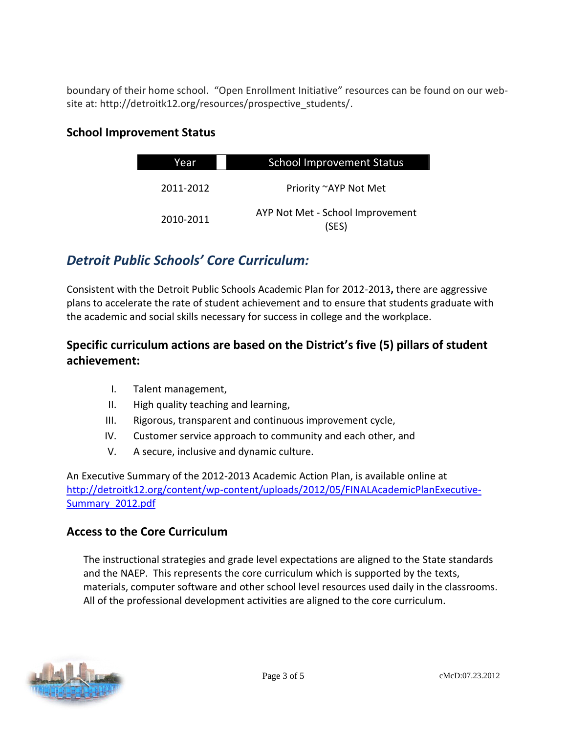boundary of their home school. "Open Enrollment Initiative" resources can be found on our website at: http://detroitk12.org/resources/prospective\_students/.

#### **School Improvement Status**

| Year      | <b>School Improvement Status</b>          |  |
|-----------|-------------------------------------------|--|
| 2011-2012 | Priority ~AYP Not Met                     |  |
| 2010-2011 | AYP Not Met - School Improvement<br>(SES) |  |

# *Detroit Public Schools' Core Curriculum:*

Consistent with the Detroit Public Schools Academic Plan for 2012-2013**,** there are aggressive plans to accelerate the rate of student achievement and to ensure that students graduate with the academic and social skills necessary for success in college and the workplace.

# **Specific curriculum actions are based on the District's five (5) pillars of student achievement:**

- I. Talent management,
- II. High quality teaching and learning,
- III. Rigorous, transparent and continuous improvement cycle,
- IV. Customer service approach to community and each other, and
- V. A secure, inclusive and dynamic culture.

An Executive Summary of the 2012-2013 Academic Action Plan, is available online at [http://detroitk12.org/content/wp-content/uploads/2012/05/FINALAcademicPlanExecutive-](http://detroitk12.org/content/wp-content/uploads/2012/05/FINALAcademicPlanExecutive-Summary_2012.pdf)[Summary\\_2012.pdf](http://detroitk12.org/content/wp-content/uploads/2012/05/FINALAcademicPlanExecutive-Summary_2012.pdf)

#### **Access to the Core Curriculum**

The instructional strategies and grade level expectations are aligned to the State standards and the NAEP. This represents the core curriculum which is supported by the texts, materials, computer software and other school level resources used daily in the classrooms. All of the professional development activities are aligned to the core curriculum.

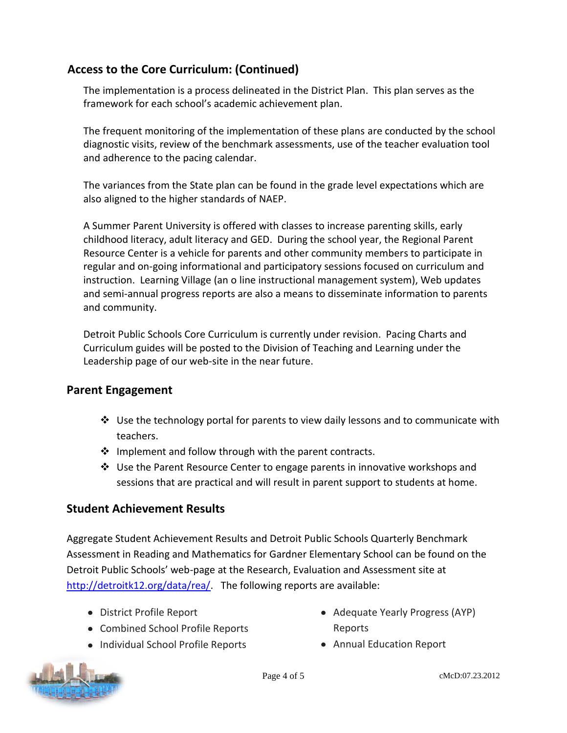## **Access to the Core Curriculum: (Continued)**

The implementation is a process delineated in the District Plan. This plan serves as the framework for each school's academic achievement plan.

The frequent monitoring of the implementation of these plans are conducted by the school diagnostic visits, review of the benchmark assessments, use of the teacher evaluation tool and adherence to the pacing calendar.

The variances from the State plan can be found in the grade level expectations which are also aligned to the higher standards of NAEP.

A Summer Parent University is offered with classes to increase parenting skills, early childhood literacy, adult literacy and GED. During the school year, the Regional Parent Resource Center is a vehicle for parents and other community members to participate in regular and on-going informational and participatory sessions focused on curriculum and instruction. Learning Village (an o line instructional management system), Web updates and semi-annual progress reports are also a means to disseminate information to parents and community.

Detroit Public Schools Core Curriculum is currently under revision. Pacing Charts and Curriculum guides will be posted to the Division of Teaching and Learning under the Leadership page of our web-site in the near future.

## **Parent Engagement**

- $\div$  Use the technology portal for parents to view daily lessons and to communicate with teachers.
- $\cdot$  Implement and follow through with the parent contracts.
- $\clubsuit$  Use the Parent Resource Center to engage parents in innovative workshops and sessions that are practical and will result in parent support to students at home.

## **Student Achievement Results**

Aggregate Student Achievement Results and Detroit Public Schools Quarterly Benchmark Assessment in Reading and Mathematics for Gardner Elementary School can be found on the Detroit Public Schools' web-page at the Research, Evaluation and Assessment site at [http://detroitk12.org/data/rea/.](http://detroitk12.org/data/rea/) The following reports are available:

- District Profile Report
- Combined School Profile Reports
- Individual School Profile Reports
- Adequate Yearly Progress (AYP) Reports
- Annual Education Report